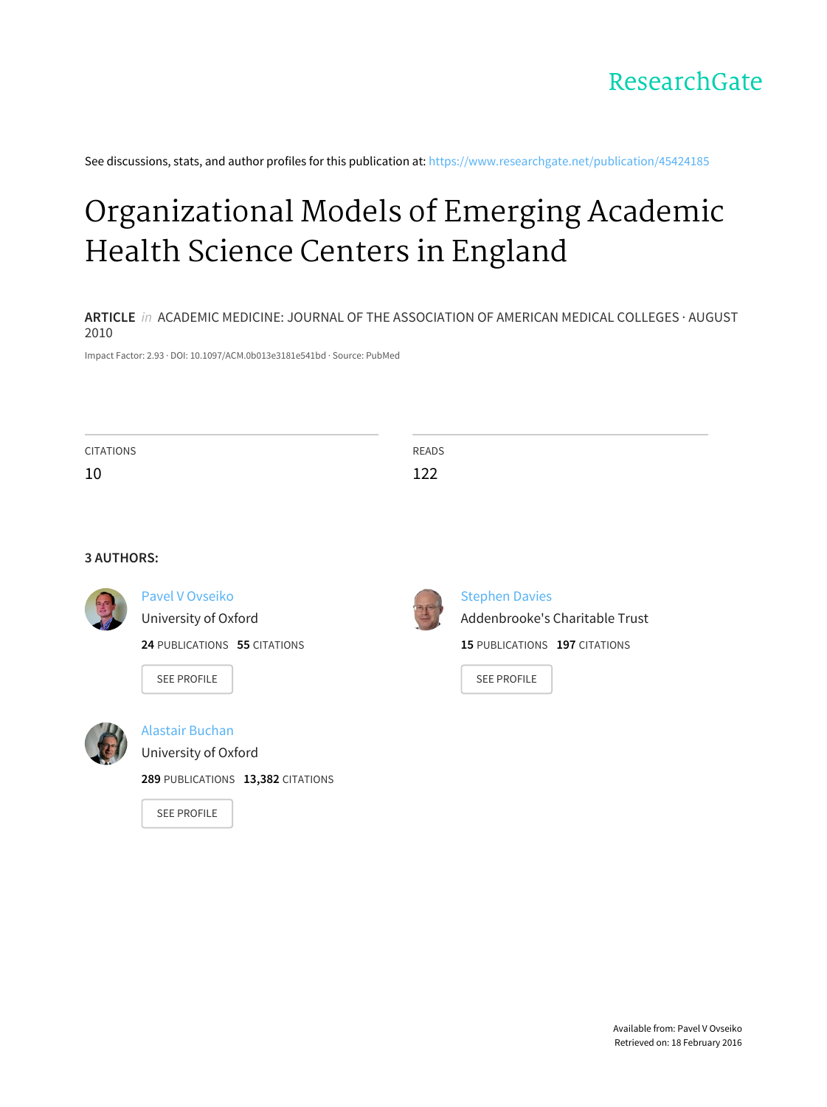

See discussions, stats, and author profiles for this publication at: [https://www.researchgate.net/publication/45424185](https://www.researchgate.net/publication/45424185_Organizational_Models_of_Emerging_Academic_Health_Science_Centers_in_England?enrichId=rgreq-b677eb54-b28a-45a9-8c83-e9f758edfa35&enrichSource=Y292ZXJQYWdlOzQ1NDI0MTg1O0FTOjEwMzk5MDYwODAwNzE3MUAxNDAxODA0NzAxNTM0&el=1_x_2)

# [Organizational](https://www.researchgate.net/publication/45424185_Organizational_Models_of_Emerging_Academic_Health_Science_Centers_in_England?enrichId=rgreq-b677eb54-b28a-45a9-8c83-e9f758edfa35&enrichSource=Y292ZXJQYWdlOzQ1NDI0MTg1O0FTOjEwMzk5MDYwODAwNzE3MUAxNDAxODA0NzAxNTM0&el=1_x_3) Models of Emerging Academic Health Science Centers in England

**ARTICLE** in ACADEMIC MEDICINE: JOURNAL OF THE ASSOCIATION OF AMERICAN MEDICAL COLLEGES · AUGUST 2010

Impact Factor: 2.93 · DOI: 10.1097/ACM.0b013e3181e541bd · Source: PubMed

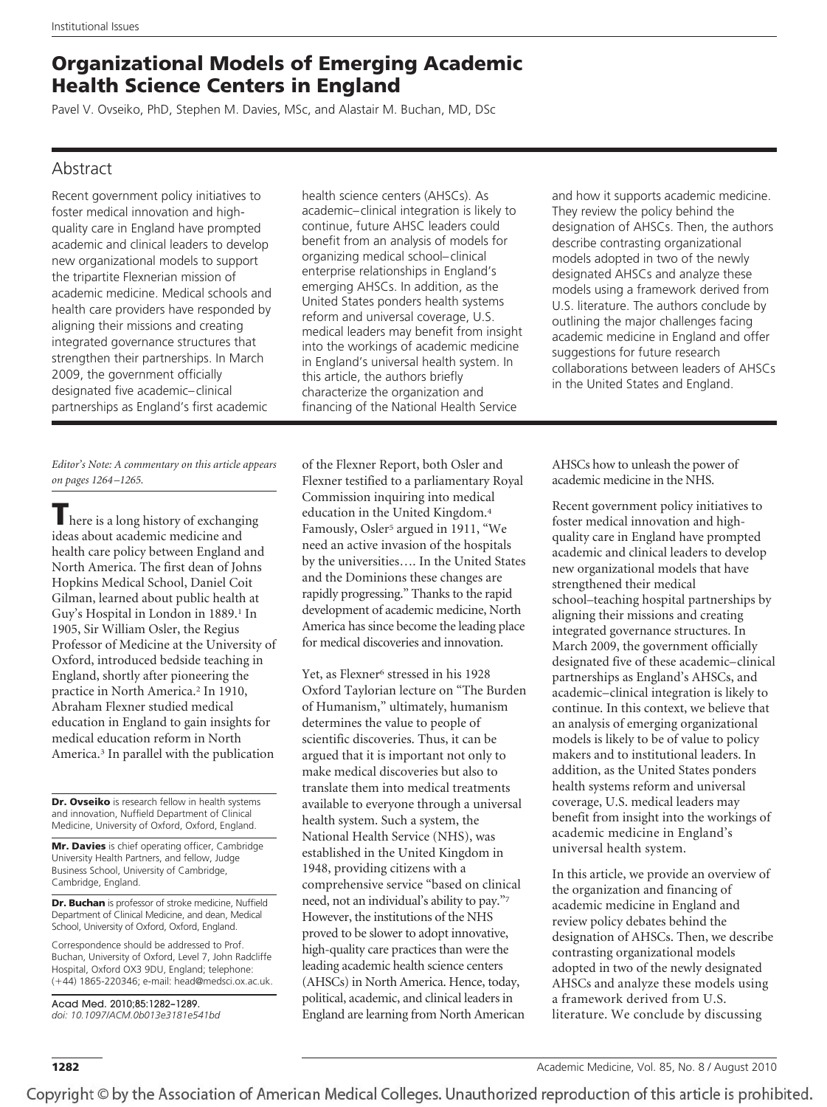# **Organizational Models of Emerging Academic Health Science Centers in England**

Pavel V. Ovseiko, PhD, Stephen M. Davies, MSc, and Alastair M. Buchan, MD, DSc

# Abstract

Recent government policy initiatives to foster medical innovation and highquality care in England have prompted academic and clinical leaders to develop new organizational models to support the tripartite Flexnerian mission of academic medicine. Medical schools and health care providers have responded by aligning their missions and creating integrated governance structures that strengthen their partnerships. In March 2009, the government officially designated five academic– clinical partnerships as England's first academic

health science centers (AHSCs). As academic– clinical integration is likely to continue, future AHSC leaders could benefit from an analysis of models for organizing medical school– clinical enterprise relationships in England's emerging AHSCs. In addition, as the United States ponders health systems reform and universal coverage, U.S. medical leaders may benefit from insight into the workings of academic medicine in England's universal health system. In this article, the authors briefly characterize the organization and financing of the National Health Service

*Editor's Note: A commentary on this article appears on pages 1264 –1265.*

**T**here is a long history of exchanging ideas about academic medicine and health care policy between England and North America. The first dean of Johns Hopkins Medical School, Daniel Coit Gilman, learned about public health at Guy's Hospital in London in 1889.<sup>1</sup> In 1905, Sir William Osler, the Regius Professor of Medicine at the University of Oxford, introduced bedside teaching in England, shortly after pioneering the practice in North America.2 In 1910, Abraham Flexner studied medical education in England to gain insights for medical education reform in North America.3 In parallel with the publication

**Dr. Ovseiko** is research fellow in health systems and innovation, Nuffield Department of Clinical Medicine, University of Oxford, Oxford, England.

**Mr. Davies** is chief operating officer, Cambridge University Health Partners, and fellow, Judge Business School, University of Cambridge, Cambridge, England.

**Dr. Buchan** is professor of stroke medicine, Nuffield Department of Clinical Medicine, and dean, Medical School, University of Oxford, Oxford, England.

Correspondence should be addressed to Prof. Buchan, University of Oxford, Level 7, John Radcliffe Hospital, Oxford OX3 9DU, England; telephone: (44) 1865-220346; e-mail: head@medsci.ox.ac.uk.

Acad Med. 2010;85:1282–1289. *doi: 10.1097/ACM.0b013e3181e541bd* of the Flexner Report, both Osler and Flexner testified to a parliamentary Royal Commission inquiring into medical education in the United Kingdom.4 Famously, Osler<sup>5</sup> argued in 1911, "We need an active invasion of the hospitals by the universities…. In the United States and the Dominions these changes are rapidly progressing." Thanks to the rapid development of academic medicine, North America has since become the leading place for medical discoveries and innovation.

Yet, as Flexner<sup>6</sup> stressed in his 1928 Oxford Taylorian lecture on "The Burden of Humanism," ultimately, humanism determines the value to people of scientific discoveries. Thus, it can be argued that it is important not only to make medical discoveries but also to translate them into medical treatments available to everyone through a universal health system. Such a system, the National Health Service (NHS), was established in the United Kingdom in 1948, providing citizens with a comprehensive service "based on clinical need, not an individual's ability to pay."7 However, the institutions of the NHS proved to be slower to adopt innovative, high-quality care practices than were the leading academic health science centers (AHSCs) in North America. Hence, today, political, academic, and clinical leaders in England are learning from North American and how it supports academic medicine. They review the policy behind the designation of AHSCs. Then, the authors describe contrasting organizational models adopted in two of the newly designated AHSCs and analyze these models using a framework derived from U.S. literature. The authors conclude by outlining the major challenges facing academic medicine in England and offer suggestions for future research collaborations between leaders of AHSCs in the United States and England.

AHSCs how to unleash the power of academic medicine in the NHS.

Recent government policy initiatives to foster medical innovation and highquality care in England have prompted academic and clinical leaders to develop new organizational models that have strengthened their medical school–teaching hospital partnerships by aligning their missions and creating integrated governance structures. In March 2009, the government officially designated five of these academic–clinical partnerships as England's AHSCs, and academic–clinical integration is likely to continue. In this context, we believe that an analysis of emerging organizational models is likely to be of value to policy makers and to institutional leaders. In addition, as the United States ponders health systems reform and universal coverage, U.S. medical leaders may benefit from insight into the workings of academic medicine in England's universal health system.

In this article, we provide an overview of the organization and financing of academic medicine in England and review policy debates behind the designation of AHSCs. Then, we describe contrasting organizational models adopted in two of the newly designated AHSCs and analyze these models using a framework derived from U.S. literature. We conclude by discussing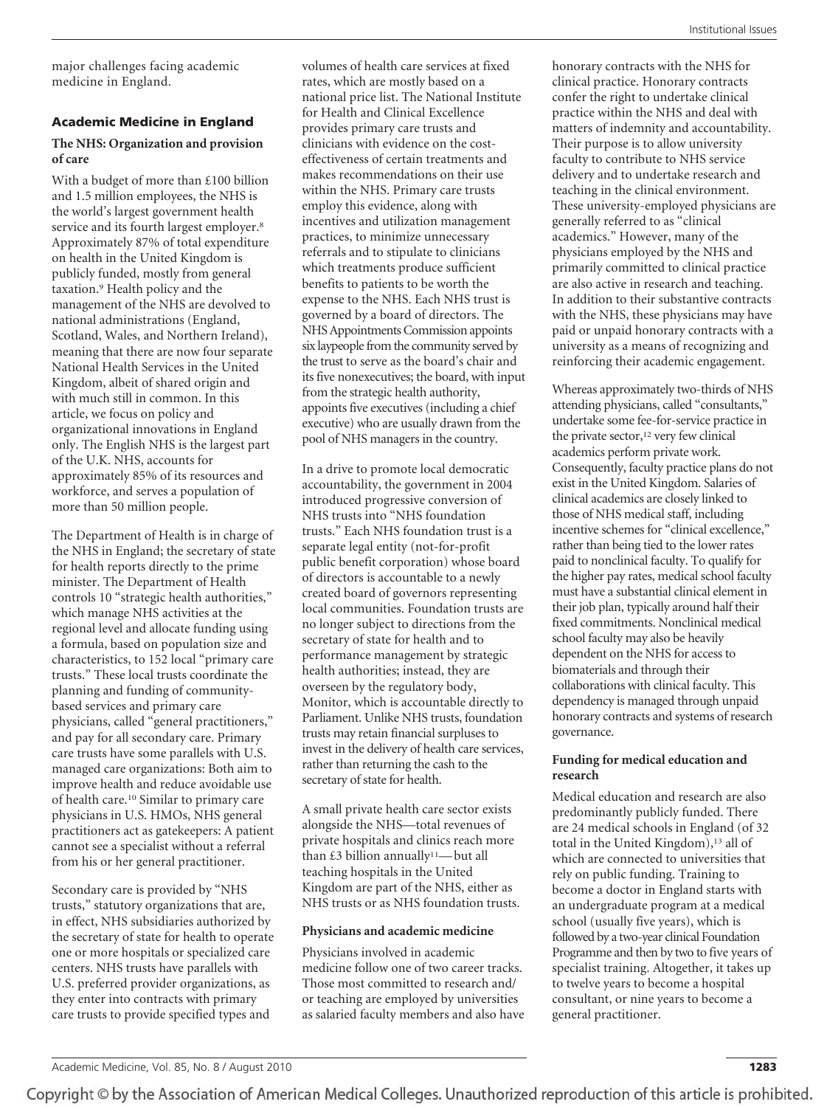major challenges facing academic medicine in England.

# **Academic Medicine in England**

#### **The NHS: Organization and provision of care**

With a budget of more than £100 billion and 1.5 million employees, the NHS is the world's largest government health service and its fourth largest employer.8 Approximately 87% of total expenditure on health in the United Kingdom is publicly funded, mostly from general taxation.9 Health policy and the management of the NHS are devolved to national administrations (England, Scotland, Wales, and Northern Ireland), meaning that there are now four separate National Health Services in the United Kingdom, albeit of shared origin and with much still in common. In this article, we focus on policy and organizational innovations in England only. The English NHS is the largest part of the U.K. NHS, accounts for approximately 85% of its resources and workforce, and serves a population of more than 50 million people.

The Department of Health is in charge of the NHS in England; the secretary of state for health reports directly to the prime minister. The Department of Health controls 10 "strategic health authorities," which manage NHS activities at the regional level and allocate funding using a formula, based on population size and characteristics, to 152 local "primary care trusts." These local trusts coordinate the planning and funding of communitybased services and primary care physicians, called "general practitioners," and pay for all secondary care. Primary care trusts have some parallels with U.S. managed care organizations: Both aim to improve health and reduce avoidable use of health care.10 Similar to primary care physicians in U.S. HMOs, NHS general practitioners act as gatekeepers: A patient cannot see a specialist without a referral from his or her general practitioner.

Secondary care is provided by "NHS trusts," statutory organizations that are, in effect, NHS subsidiaries authorized by the secretary of state for health to operate one or more hospitals or specialized care centers. NHS trusts have parallels with U.S. preferred provider organizations, as they enter into contracts with primary care trusts to provide specified types and

volumes of health care services at fixed rates, which are mostly based on a national price list. The National Institute for Health and Clinical Excellence provides primary care trusts and clinicians with evidence on the costeffectiveness of certain treatments and makes recommendations on their use within the NHS. Primary care trusts employ this evidence, along with incentives and utilization management practices, to minimize unnecessary referrals and to stipulate to clinicians which treatments produce sufficient benefits to patients to be worth the expense to the NHS. Each NHS trust is governed by a board of directors. The NHS Appointments Commission appoints six laypeople from the community served by the trust to serve as the board's chair and its five nonexecutives; the board, with input from the strategic health authority, appoints five executives (including a chief executive) who are usually drawn from the pool of NHS managers in the country.

In a drive to promote local democratic accountability, the government in 2004 introduced progressive conversion of NHS trusts into "NHS foundation trusts." Each NHS foundation trust is a separate legal entity (not-for-profit public benefit corporation) whose board of directors is accountable to a newly created board of governors representing local communities. Foundation trusts are no longer subject to directions from the secretary of state for health and to performance management by strategic health authorities; instead, they are overseen by the regulatory body, Monitor, which is accountable directly to Parliament. Unlike NHS trusts, foundation trusts may retain financial surpluses to invest in the delivery of health care services, rather than returning the cash to the secretary of state for health.

A small private health care sector exists alongside the NHS—total revenues of private hospitals and clinics reach more than  $£3$  billion annually<sup>11</sup>— but all teaching hospitals in the United Kingdom are part of the NHS, either as NHS trusts or as NHS foundation trusts.

#### **Physicians and academic medicine**

Physicians involved in academic medicine follow one of two career tracks. Those most committed to research and/ or teaching are employed by universities as salaried faculty members and also have honorary contracts with the NHS for clinical practice. Honorary contracts confer the right to undertake clinical practice within the NHS and deal with matters of indemnity and accountability. Their purpose is to allow university faculty to contribute to NHS service delivery and to undertake research and teaching in the clinical environment. These university-employed physicians are generally referred to as "clinical academics." However, many of the physicians employed by the NHS and primarily committed to clinical practice are also active in research and teaching. In addition to their substantive contracts with the NHS, these physicians may have paid or unpaid honorary contracts with a university as a means of recognizing and reinforcing their academic engagement.

Whereas approximately two-thirds of NHS attending physicians, called "consultants," undertake some fee-for-service practice in the private sector,<sup>12</sup> very few clinical academics perform private work. Consequently, faculty practice plans do not exist in the United Kingdom. Salaries of clinical academics are closely linked to those of NHS medical staff, including incentive schemes for "clinical excellence," rather than being tied to the lower rates paid to nonclinical faculty. To qualify for the higher pay rates, medical school faculty must have a substantial clinical element in their job plan, typically around half their fixed commitments. Nonclinical medical school faculty may also be heavily dependent on the NHS for access to biomaterials and through their collaborations with clinical faculty. This dependency is managed through unpaid honorary contracts and systems of research governance.

#### **Funding for medical education and research**

Medical education and research are also predominantly publicly funded. There are 24 medical schools in England (of 32 total in the United Kingdom),<sup>13</sup> all of which are connected to universities that rely on public funding. Training to become a doctor in England starts with an undergraduate program at a medical school (usually five years), which is followed by a two-year clinical Foundation Programme and then by two to five years of specialist training. Altogether, it takes up to twelve years to become a hospital consultant, or nine years to become a general practitioner.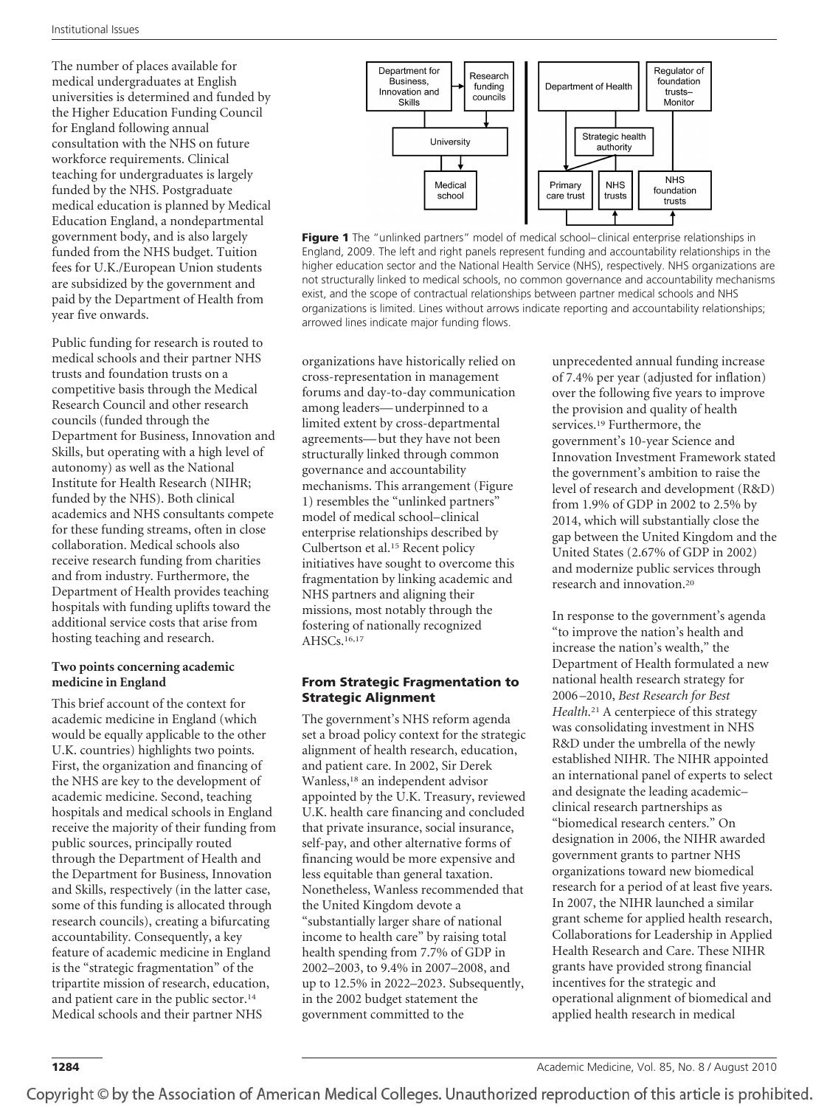The number of places available for medical undergraduates at English universities is determined and funded by the Higher Education Funding Council for England following annual consultation with the NHS on future workforce requirements. Clinical teaching for undergraduates is largely funded by the NHS. Postgraduate medical education is planned by Medical Education England, a nondepartmental government body, and is also largely funded from the NHS budget. Tuition fees for U.K./European Union students are subsidized by the government and paid by the Department of Health from year five onwards.

Public funding for research is routed to medical schools and their partner NHS trusts and foundation trusts on a competitive basis through the Medical Research Council and other research councils (funded through the Department for Business, Innovation and Skills, but operating with a high level of autonomy) as well as the National Institute for Health Research (NIHR; funded by the NHS). Both clinical academics and NHS consultants compete for these funding streams, often in close collaboration. Medical schools also receive research funding from charities and from industry. Furthermore, the Department of Health provides teaching hospitals with funding uplifts toward the additional service costs that arise from hosting teaching and research.

#### **Two points concerning academic medicine in England**

This brief account of the context for academic medicine in England (which would be equally applicable to the other U.K. countries) highlights two points. First, the organization and financing of the NHS are key to the development of academic medicine. Second, teaching hospitals and medical schools in England receive the majority of their funding from public sources, principally routed through the Department of Health and the Department for Business, Innovation and Skills, respectively (in the latter case, some of this funding is allocated through research councils), creating a bifurcating accountability. Consequently, a key feature of academic medicine in England is the "strategic fragmentation" of the tripartite mission of research, education, and patient care in the public sector.<sup>14</sup> Medical schools and their partner NHS



Figure 1 The "unlinked partners" model of medical school–clinical enterprise relationships in England, 2009. The left and right panels represent funding and accountability relationships in the higher education sector and the National Health Service (NHS), respectively. NHS organizations are not structurally linked to medical schools, no common governance and accountability mechanisms exist, and the scope of contractual relationships between partner medical schools and NHS organizations is limited. Lines without arrows indicate reporting and accountability relationships; arrowed lines indicate major funding flows.

organizations have historically relied on cross-representation in management forums and day-to-day communication among leaders— underpinned to a limited extent by cross-departmental agreements— but they have not been structurally linked through common governance and accountability mechanisms. This arrangement (Figure 1) resembles the "unlinked partners" model of medical school–clinical enterprise relationships described by Culbertson et al.15 Recent policy initiatives have sought to overcome this fragmentation by linking academic and NHS partners and aligning their missions, most notably through the fostering of nationally recognized AHSCs.16,17

# **From Strategic Fragmentation to Strategic Alignment**

The government's NHS reform agenda set a broad policy context for the strategic alignment of health research, education, and patient care. In 2002, Sir Derek Wanless,18 an independent advisor appointed by the U.K. Treasury, reviewed U.K. health care financing and concluded that private insurance, social insurance, self-pay, and other alternative forms of financing would be more expensive and less equitable than general taxation. Nonetheless, Wanless recommended that the United Kingdom devote a "substantially larger share of national income to health care" by raising total health spending from 7.7% of GDP in 2002–2003, to 9.4% in 2007–2008, and up to 12.5% in 2022–2023. Subsequently, in the 2002 budget statement the government committed to the

unprecedented annual funding increase of 7.4% per year (adjusted for inflation) over the following five years to improve the provision and quality of health services.<sup>19</sup> Furthermore, the government's 10-year Science and Innovation Investment Framework stated the government's ambition to raise the level of research and development (R&D) from 1.9% of GDP in 2002 to 2.5% by 2014, which will substantially close the gap between the United Kingdom and the United States (2.67% of GDP in 2002) and modernize public services through research and innovation.20

In response to the government's agenda "to improve the nation's health and increase the nation's wealth," the Department of Health formulated a new national health research strategy for 2006 –2010, *Best Research for Best Health*. <sup>21</sup> A centerpiece of this strategy was consolidating investment in NHS R&D under the umbrella of the newly established NIHR. The NIHR appointed an international panel of experts to select and designate the leading academic– clinical research partnerships as "biomedical research centers." On designation in 2006, the NIHR awarded government grants to partner NHS organizations toward new biomedical research for a period of at least five years. In 2007, the NIHR launched a similar grant scheme for applied health research, Collaborations for Leadership in Applied Health Research and Care. These NIHR grants have provided strong financial incentives for the strategic and operational alignment of biomedical and applied health research in medical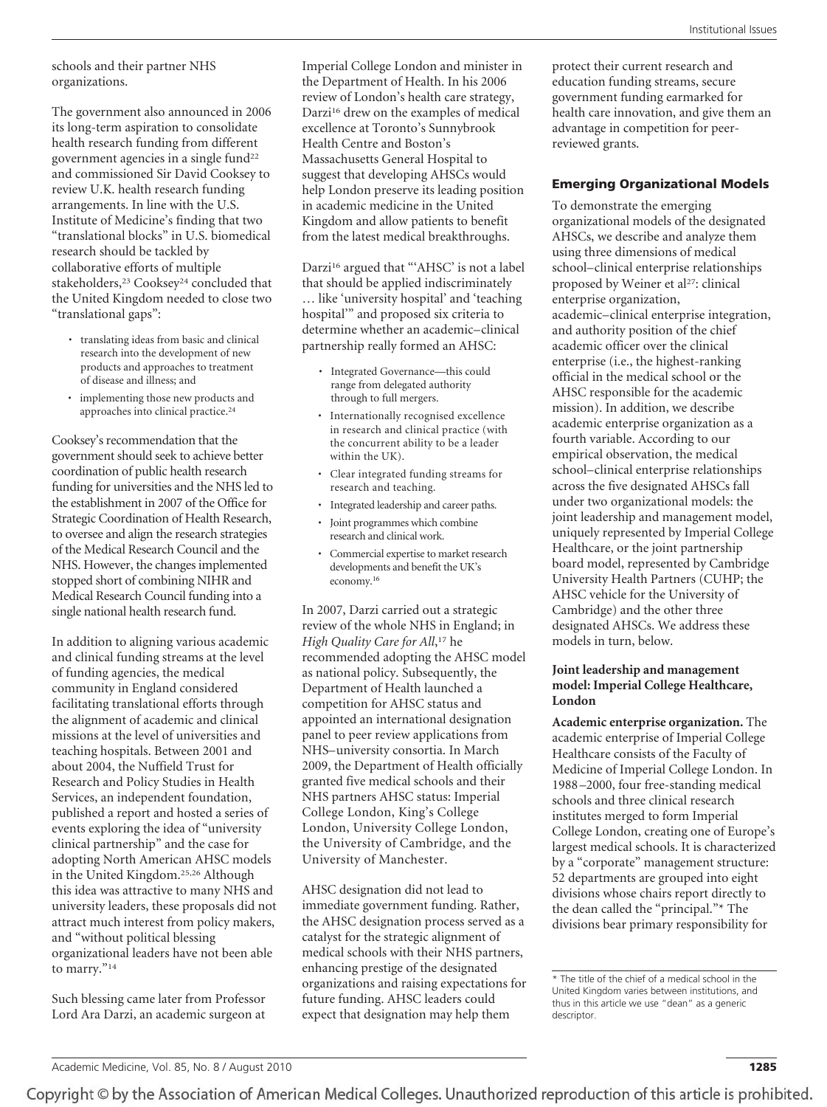schools and their partner NHS organizations.

The government also announced in 2006 its long-term aspiration to consolidate health research funding from different government agencies in a single fund22 and commissioned Sir David Cooksey to review U.K. health research funding arrangements. In line with the U.S. Institute of Medicine's finding that two "translational blocks" in U.S. biomedical research should be tackled by collaborative efforts of multiple stakeholders,<sup>23</sup> Cooksey<sup>24</sup> concluded that the United Kingdom needed to close two "translational gaps":

- translating ideas from basic and clinical research into the development of new products and approaches to treatment of disease and illness; and
- implementing those new products and approaches into clinical practice.24

Cooksey's recommendation that the government should seek to achieve better coordination of public health research funding for universities and the NHS led to the establishment in 2007 of the Office for Strategic Coordination of Health Research, to oversee and align the research strategies of the Medical Research Council and the NHS. However, the changes implemented stopped short of combining NIHR and Medical Research Council funding into a single national health research fund.

In addition to aligning various academic and clinical funding streams at the level of funding agencies, the medical community in England considered facilitating translational efforts through the alignment of academic and clinical missions at the level of universities and teaching hospitals. Between 2001 and about 2004, the Nuffield Trust for Research and Policy Studies in Health Services, an independent foundation, published a report and hosted a series of events exploring the idea of "university clinical partnership" and the case for adopting North American AHSC models in the United Kingdom.25,26 Although this idea was attractive to many NHS and university leaders, these proposals did not attract much interest from policy makers, and "without political blessing organizational leaders have not been able to marry."<sup>14</sup>

Such blessing came later from Professor Lord Ara Darzi, an academic surgeon at Imperial College London and minister in the Department of Health. In his 2006 review of London's health care strategy, Darzi<sup>16</sup> drew on the examples of medical excellence at Toronto's Sunnybrook Health Centre and Boston's Massachusetts General Hospital to suggest that developing AHSCs would help London preserve its leading position in academic medicine in the United Kingdom and allow patients to benefit from the latest medical breakthroughs.

Darzi<sup>16</sup> argued that "'AHSC' is not a label that should be applied indiscriminately … like 'university hospital' and 'teaching hospital'" and proposed six criteria to determine whether an academic–clinical partnership really formed an AHSC:

- Integrated Governance—this could range from delegated authority through to full mergers.
- Internationally recognised excellence in research and clinical practice (with the concurrent ability to be a leader within the UK).
- Clear integrated funding streams for research and teaching.
- Integrated leadership and career paths.
- Joint programmes which combine research and clinical work.
- Commercial expertise to market research developments and benefit the UK's economy.16

In 2007, Darzi carried out a strategic review of the whole NHS in England; in *High Quality Care for All*, <sup>17</sup> he recommended adopting the AHSC model as national policy. Subsequently, the Department of Health launched a competition for AHSC status and appointed an international designation panel to peer review applications from NHS–university consortia. In March 2009, the Department of Health officially granted five medical schools and their NHS partners AHSC status: Imperial College London, King's College London, University College London, the University of Cambridge, and the University of Manchester.

AHSC designation did not lead to immediate government funding. Rather, the AHSC designation process served as a catalyst for the strategic alignment of medical schools with their NHS partners, enhancing prestige of the designated organizations and raising expectations for future funding. AHSC leaders could expect that designation may help them

protect their current research and education funding streams, secure government funding earmarked for health care innovation, and give them an advantage in competition for peerreviewed grants.

#### **Emerging Organizational Models**

To demonstrate the emerging organizational models of the designated AHSCs, we describe and analyze them using three dimensions of medical school–clinical enterprise relationships proposed by Weiner et al<sup>27</sup>: clinical enterprise organization, academic–clinical enterprise integration, and authority position of the chief academic officer over the clinical enterprise (i.e., the highest-ranking official in the medical school or the AHSC responsible for the academic mission). In addition, we describe academic enterprise organization as a fourth variable. According to our empirical observation, the medical school–clinical enterprise relationships across the five designated AHSCs fall under two organizational models: the joint leadership and management model, uniquely represented by Imperial College Healthcare, or the joint partnership board model, represented by Cambridge University Health Partners (CUHP; the AHSC vehicle for the University of Cambridge) and the other three designated AHSCs. We address these models in turn, below.

#### **Joint leadership and management model: Imperial College Healthcare, London**

**Academic enterprise organization.** The academic enterprise of Imperial College Healthcare consists of the Faculty of Medicine of Imperial College London. In 1988 –2000, four free-standing medical schools and three clinical research institutes merged to form Imperial College London, creating one of Europe's largest medical schools. It is characterized by a "corporate" management structure: 52 departments are grouped into eight divisions whose chairs report directly to the dean called the "principal."\* The divisions bear primary responsibility for

<sup>\*</sup> The title of the chief of a medical school in the United Kingdom varies between institutions, and thus in this article we use "dean" as a generic descriptor.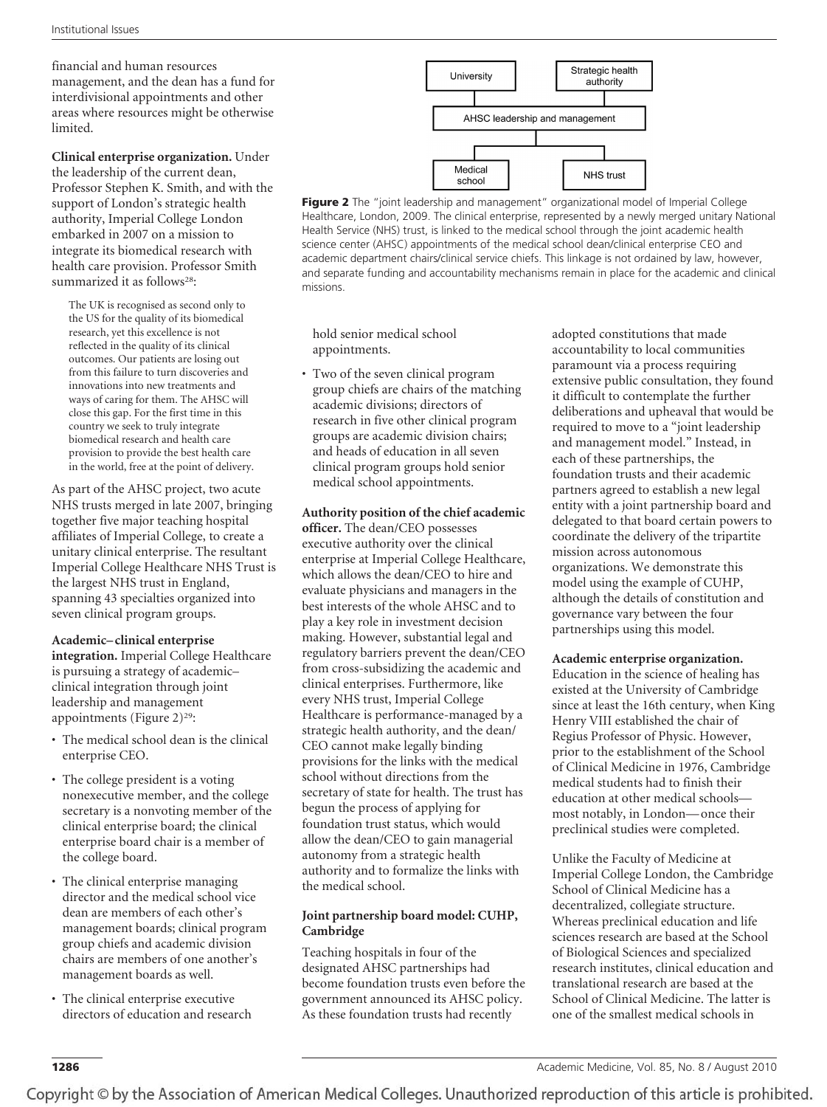financial and human resources management, and the dean has a fund for interdivisional appointments and other areas where resources might be otherwise limited.

**Clinical enterprise organization.** Under the leadership of the current dean, Professor Stephen K. Smith, and with the support of London's strategic health authority, Imperial College London embarked in 2007 on a mission to integrate its biomedical research with health care provision. Professor Smith summarized it as follows<sup>28</sup>:

The UK is recognised as second only to the US for the quality of its biomedical research, yet this excellence is not reflected in the quality of its clinical outcomes. Our patients are losing out from this failure to turn discoveries and innovations into new treatments and ways of caring for them. The AHSC will close this gap. For the first time in this country we seek to truly integrate biomedical research and health care provision to provide the best health care in the world, free at the point of delivery.

As part of the AHSC project, two acute NHS trusts merged in late 2007, bringing together five major teaching hospital affiliates of Imperial College, to create a unitary clinical enterprise. The resultant Imperial College Healthcare NHS Trust is the largest NHS trust in England, spanning 43 specialties organized into seven clinical program groups.

#### **Academic– clinical enterprise**

**integration.** Imperial College Healthcare is pursuing a strategy of academic– clinical integration through joint leadership and management appointments (Figure  $2)^{29}$ :

- The medical school dean is the clinical enterprise CEO.
- The college president is a voting nonexecutive member, and the college secretary is a nonvoting member of the clinical enterprise board; the clinical enterprise board chair is a member of the college board.
- The clinical enterprise managing director and the medical school vice dean are members of each other's management boards; clinical program group chiefs and academic division chairs are members of one another's management boards as well.
- The clinical enterprise executive directors of education and research



**Figure 2** The "joint leadership and management" organizational model of Imperial College Healthcare, London, 2009. The clinical enterprise, represented by a newly merged unitary National Health Service (NHS) trust, is linked to the medical school through the joint academic health science center (AHSC) appointments of the medical school dean/clinical enterprise CEO and academic department chairs/clinical service chiefs. This linkage is not ordained by law, however, and separate funding and accountability mechanisms remain in place for the academic and clinical missions.

hold senior medical school appointments.

• Two of the seven clinical program group chiefs are chairs of the matching academic divisions; directors of research in five other clinical program groups are academic division chairs; and heads of education in all seven clinical program groups hold senior medical school appointments.

#### **Authority position of the chief academic**

**officer.** The dean/CEO possesses executive authority over the clinical enterprise at Imperial College Healthcare, which allows the dean/CEO to hire and evaluate physicians and managers in the best interests of the whole AHSC and to play a key role in investment decision making. However, substantial legal and regulatory barriers prevent the dean/CEO from cross-subsidizing the academic and clinical enterprises. Furthermore, like every NHS trust, Imperial College Healthcare is performance-managed by a strategic health authority, and the dean/ CEO cannot make legally binding provisions for the links with the medical school without directions from the secretary of state for health. The trust has begun the process of applying for foundation trust status, which would allow the dean/CEO to gain managerial autonomy from a strategic health authority and to formalize the links with the medical school.

#### **Joint partnership board model: CUHP, Cambridge**

Teaching hospitals in four of the designated AHSC partnerships had become foundation trusts even before the government announced its AHSC policy. As these foundation trusts had recently

adopted constitutions that made accountability to local communities paramount via a process requiring extensive public consultation, they found it difficult to contemplate the further deliberations and upheaval that would be required to move to a "joint leadership and management model." Instead, in each of these partnerships, the foundation trusts and their academic partners agreed to establish a new legal entity with a joint partnership board and delegated to that board certain powers to coordinate the delivery of the tripartite mission across autonomous organizations. We demonstrate this model using the example of CUHP, although the details of constitution and governance vary between the four partnerships using this model.

#### **Academic enterprise organization.**

Education in the science of healing has existed at the University of Cambridge since at least the 16th century, when King Henry VIII established the chair of Regius Professor of Physic. However, prior to the establishment of the School of Clinical Medicine in 1976, Cambridge medical students had to finish their education at other medical schools most notably, in London— once their preclinical studies were completed.

Unlike the Faculty of Medicine at Imperial College London, the Cambridge School of Clinical Medicine has a decentralized, collegiate structure. Whereas preclinical education and life sciences research are based at the School of Biological Sciences and specialized research institutes, clinical education and translational research are based at the School of Clinical Medicine. The latter is one of the smallest medical schools in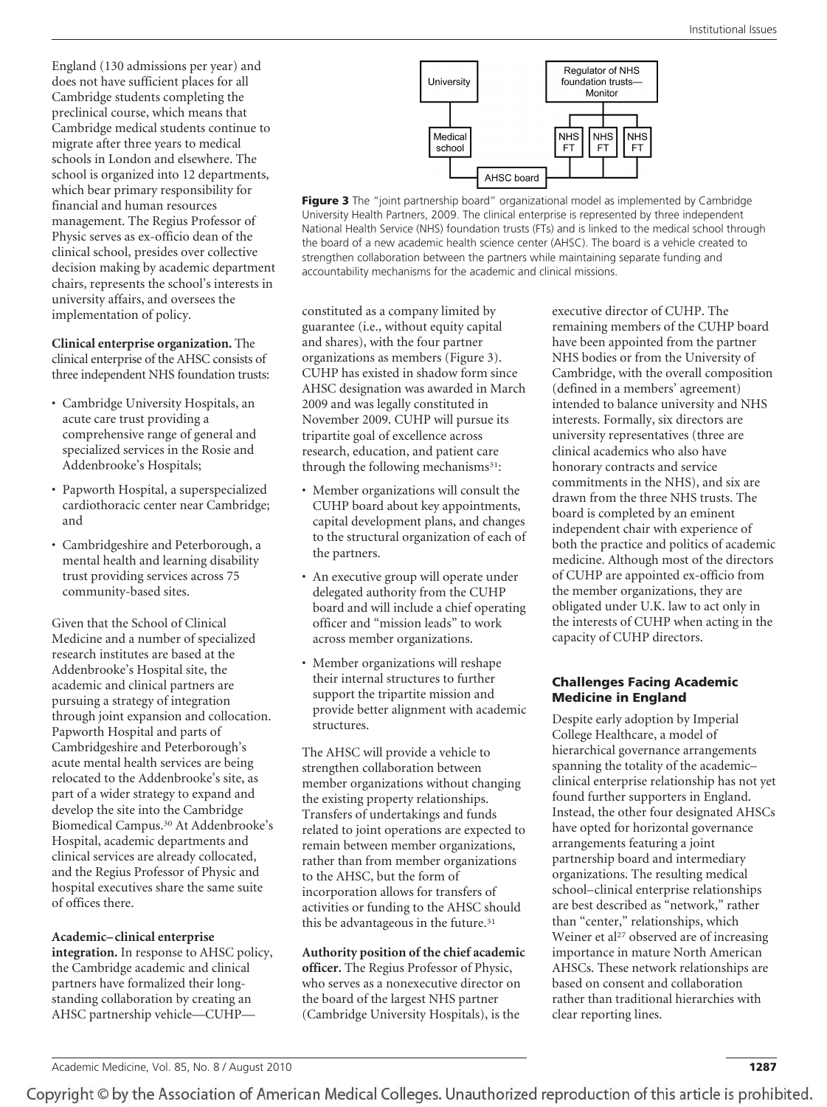England (130 admissions per year) and does not have sufficient places for all Cambridge students completing the preclinical course, which means that Cambridge medical students continue to migrate after three years to medical schools in London and elsewhere. The school is organized into 12 departments, which bear primary responsibility for financial and human resources management. The Regius Professor of Physic serves as ex-officio dean of the clinical school, presides over collective decision making by academic department chairs, represents the school's interests in university affairs, and oversees the implementation of policy.

**Clinical enterprise organization.** The clinical enterprise of the AHSC consists of three independent NHS foundation trusts:

- Cambridge University Hospitals, an acute care trust providing a comprehensive range of general and specialized services in the Rosie and Addenbrooke's Hospitals;
- Papworth Hospital, a superspecialized cardiothoracic center near Cambridge; and
- Cambridgeshire and Peterborough, a mental health and learning disability trust providing services across 75 community-based sites.

Given that the School of Clinical Medicine and a number of specialized research institutes are based at the Addenbrooke's Hospital site, the academic and clinical partners are pursuing a strategy of integration through joint expansion and collocation. Papworth Hospital and parts of Cambridgeshire and Peterborough's acute mental health services are being relocated to the Addenbrooke's site, as part of a wider strategy to expand and develop the site into the Cambridge Biomedical Campus.30 At Addenbrooke's Hospital, academic departments and clinical services are already collocated, and the Regius Professor of Physic and hospital executives share the same suite of offices there.

#### **Academic– clinical enterprise**

**integration.** In response to AHSC policy, the Cambridge academic and clinical partners have formalized their longstanding collaboration by creating an AHSC partnership vehicle—CUHP—



**Figure 3** The "joint partnership board" organizational model as implemented by Cambridge University Health Partners, 2009. The clinical enterprise is represented by three independent National Health Service (NHS) foundation trusts (FTs) and is linked to the medical school through the board of a new academic health science center (AHSC). The board is a vehicle created to strengthen collaboration between the partners while maintaining separate funding and accountability mechanisms for the academic and clinical missions.

constituted as a company limited by guarantee (i.e., without equity capital and shares), with the four partner organizations as members (Figure 3). CUHP has existed in shadow form since AHSC designation was awarded in March 2009 and was legally constituted in November 2009. CUHP will pursue its tripartite goal of excellence across research, education, and patient care through the following mechanisms<sup>31</sup>:

- Member organizations will consult the CUHP board about key appointments, capital development plans, and changes to the structural organization of each of the partners.
- An executive group will operate under delegated authority from the CUHP board and will include a chief operating officer and "mission leads" to work across member organizations.
- Member organizations will reshape their internal structures to further support the tripartite mission and provide better alignment with academic structures.

The AHSC will provide a vehicle to strengthen collaboration between member organizations without changing the existing property relationships. Transfers of undertakings and funds related to joint operations are expected to remain between member organizations, rather than from member organizations to the AHSC, but the form of incorporation allows for transfers of activities or funding to the AHSC should this be advantageous in the future.<sup>31</sup>

**Authority position of the chief academic officer.** The Regius Professor of Physic, who serves as a nonexecutive director on the board of the largest NHS partner (Cambridge University Hospitals), is the

executive director of CUHP. The remaining members of the CUHP board have been appointed from the partner NHS bodies or from the University of Cambridge, with the overall composition (defined in a members' agreement) intended to balance university and NHS interests. Formally, six directors are university representatives (three are clinical academics who also have honorary contracts and service commitments in the NHS), and six are drawn from the three NHS trusts. The board is completed by an eminent independent chair with experience of both the practice and politics of academic medicine. Although most of the directors of CUHP are appointed ex-officio from the member organizations, they are obligated under U.K. law to act only in the interests of CUHP when acting in the capacity of CUHP directors.

### **Challenges Facing Academic Medicine in England**

Despite early adoption by Imperial College Healthcare, a model of hierarchical governance arrangements spanning the totality of the academic– clinical enterprise relationship has not yet found further supporters in England. Instead, the other four designated AHSCs have opted for horizontal governance arrangements featuring a joint partnership board and intermediary organizations. The resulting medical school–clinical enterprise relationships are best described as "network," rather than "center," relationships, which Weiner et al<sup>27</sup> observed are of increasing importance in mature North American AHSCs. These network relationships are based on consent and collaboration rather than traditional hierarchies with clear reporting lines.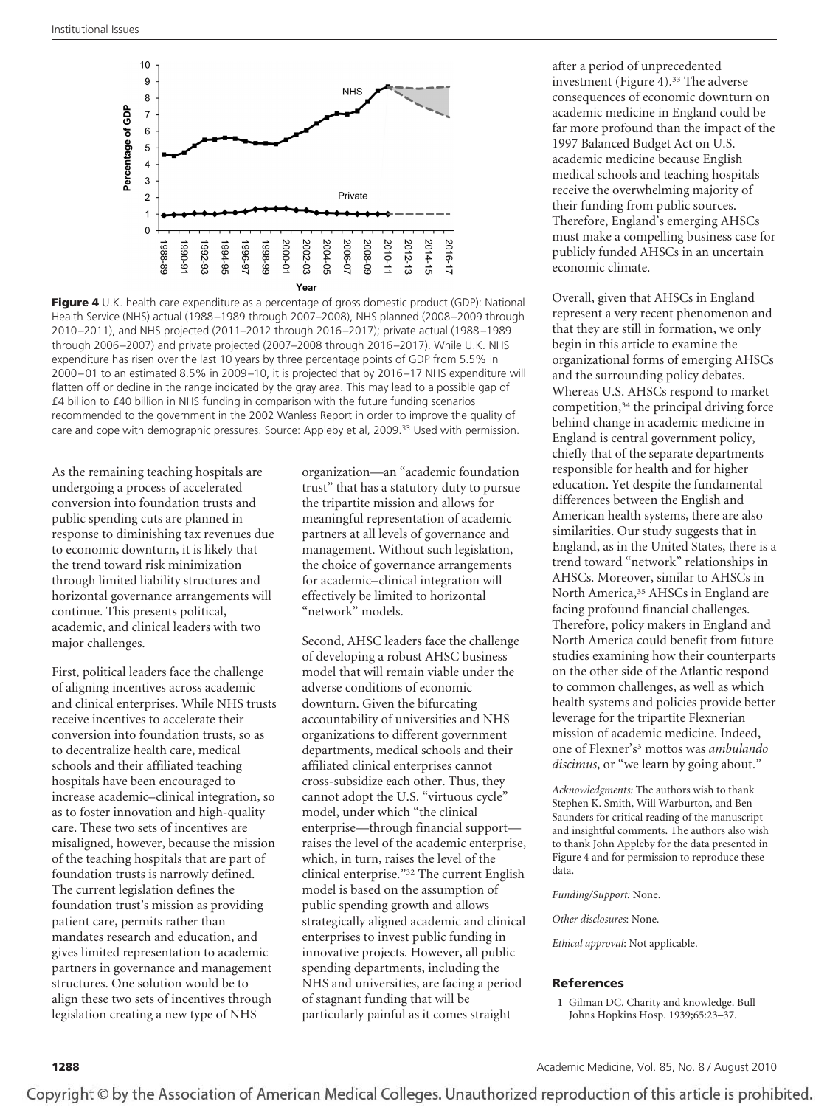

**Figure 4** U.K. health care expenditure as a percentage of gross domestic product (GDP): National Health Service (NHS) actual (1988 –1989 through 2007–2008), NHS planned (2008 –2009 through 2010 –2011), and NHS projected (2011–2012 through 2016 –2017); private actual (1988 –1989 through 2006 –2007) and private projected (2007–2008 through 2016 –2017). While U.K. NHS expenditure has risen over the last 10 years by three percentage points of GDP from 5.5% in 2000 – 01 to an estimated 8.5% in 2009 –10, it is projected that by 2016 –17 NHS expenditure will flatten off or decline in the range indicated by the gray area. This may lead to a possible gap of £4 billion to £40 billion in NHS funding in comparison with the future funding scenarios recommended to the government in the 2002 Wanless Report in order to improve the quality of care and cope with demographic pressures. Source: Appleby et al, 2009.<sup>33</sup> Used with permission.

As the remaining teaching hospitals are undergoing a process of accelerated conversion into foundation trusts and public spending cuts are planned in response to diminishing tax revenues due to economic downturn, it is likely that the trend toward risk minimization through limited liability structures and horizontal governance arrangements will continue. This presents political, academic, and clinical leaders with two major challenges.

First, political leaders face the challenge of aligning incentives across academic and clinical enterprises. While NHS trusts receive incentives to accelerate their conversion into foundation trusts, so as to decentralize health care, medical schools and their affiliated teaching hospitals have been encouraged to increase academic–clinical integration, so as to foster innovation and high-quality care. These two sets of incentives are misaligned, however, because the mission of the teaching hospitals that are part of foundation trusts is narrowly defined. The current legislation defines the foundation trust's mission as providing patient care, permits rather than mandates research and education, and gives limited representation to academic partners in governance and management structures. One solution would be to align these two sets of incentives through legislation creating a new type of NHS

organization—an "academic foundation trust" that has a statutory duty to pursue the tripartite mission and allows for meaningful representation of academic partners at all levels of governance and management. Without such legislation, the choice of governance arrangements for academic–clinical integration will effectively be limited to horizontal "network" models.

Second, AHSC leaders face the challenge of developing a robust AHSC business model that will remain viable under the adverse conditions of economic downturn. Given the bifurcating accountability of universities and NHS organizations to different government departments, medical schools and their affiliated clinical enterprises cannot cross-subsidize each other. Thus, they cannot adopt the U.S. "virtuous cycle" model, under which "the clinical enterprise—through financial support raises the level of the academic enterprise, which, in turn, raises the level of the clinical enterprise."32 The current English model is based on the assumption of public spending growth and allows strategically aligned academic and clinical enterprises to invest public funding in innovative projects. However, all public spending departments, including the NHS and universities, are facing a period of stagnant funding that will be particularly painful as it comes straight

after a period of unprecedented investment (Figure 4).33 The adverse consequences of economic downturn on academic medicine in England could be far more profound than the impact of the 1997 Balanced Budget Act on U.S. academic medicine because English medical schools and teaching hospitals receive the overwhelming majority of their funding from public sources. Therefore, England's emerging AHSCs must make a compelling business case for publicly funded AHSCs in an uncertain economic climate.

Overall, given that AHSCs in England represent a very recent phenomenon and that they are still in formation, we only begin in this article to examine the organizational forms of emerging AHSCs and the surrounding policy debates. Whereas U.S. AHSCs respond to market competition,34 the principal driving force behind change in academic medicine in England is central government policy, chiefly that of the separate departments responsible for health and for higher education. Yet despite the fundamental differences between the English and American health systems, there are also similarities. Our study suggests that in England, as in the United States, there is a trend toward "network" relationships in AHSCs. Moreover, similar to AHSCs in North America,<sup>35</sup> AHSCs in England are facing profound financial challenges. Therefore, policy makers in England and North America could benefit from future studies examining how their counterparts on the other side of the Atlantic respond to common challenges, as well as which health systems and policies provide better leverage for the tripartite Flexnerian mission of academic medicine. Indeed, one of Flexner's3 mottos was *ambulando discimus*, or "we learn by going about."

*Acknowledgments:* The authors wish to thank Stephen K. Smith, Will Warburton, and Ben Saunders for critical reading of the manuscript and insightful comments. The authors also wish to thank John Appleby for the data presented in Figure 4 and for permission to reproduce these data.

*Funding/Support:* None.

*Other disclosures*: None.

*Ethical approval*: Not applicable.

#### **References**

**1** Gilman DC. Charity and knowledge. Bull Johns Hopkins Hosp. 1939;65:23–37.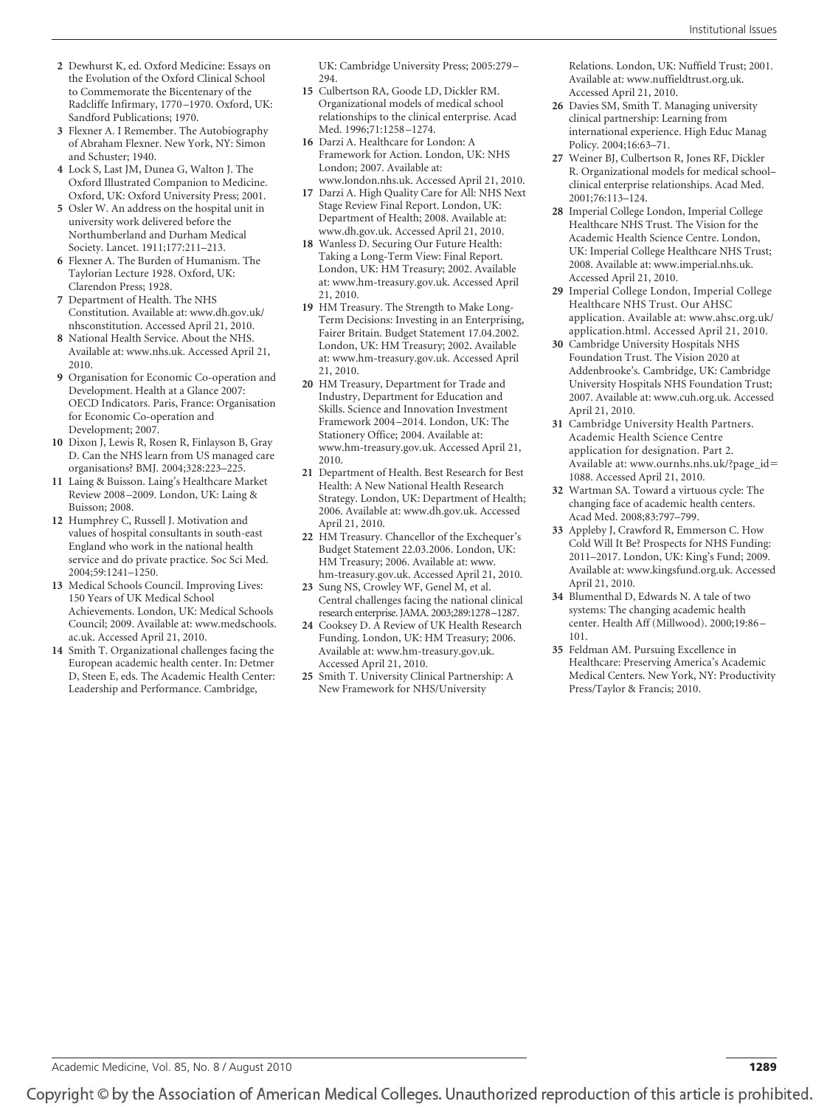- **2** Dewhurst K, ed. Oxford Medicine: Essays on the Evolution of the Oxford Clinical School to Commemorate the Bicentenary of the Radcliffe Infirmary, 1770 –1970. Oxford, UK: Sandford Publications; 1970.
- **3** Flexner A. I Remember. The Autobiography of Abraham Flexner. New York, NY: Simon and Schuster; 1940.
- **4** Lock S, Last JM, Dunea G, Walton J. The Oxford Illustrated Companion to Medicine. Oxford, UK: Oxford University Press; 2001.
- **5** Osler W. An address on the hospital unit in university work delivered before the Northumberland and Durham Medical Society. Lancet. 1911;177:211–213.
- **6** Flexner A. The Burden of Humanism. The Taylorian Lecture 1928. Oxford, UK: Clarendon Press; 1928.
- **7** Department of Health. The NHS Constitution. Available at: www.dh.gov.uk/ nhsconstitution. Accessed April 21, 2010.
- **8** National Health Service. About the NHS. Available at: www.nhs.uk. Accessed April 21, 2010.
- **9** Organisation for Economic Co-operation and Development. Health at a Glance 2007: OECD Indicators. Paris, France: Organisation for Economic Co-operation and Development; 2007.
- **10** Dixon J, Lewis R, Rosen R, Finlayson B, Gray D. Can the NHS learn from US managed care organisations? BMJ. 2004;328:223–225.
- **11** Laing & Buisson. Laing's Healthcare Market Review 2008 –2009. London, UK: Laing & Buisson; 2008.
- **12** Humphrey C, Russell J. Motivation and values of hospital consultants in south-east England who work in the national health service and do private practice. Soc Sci Med. 2004;59:1241–1250.
- **13** Medical Schools Council. Improving Lives: 150 Years of UK Medical School Achievements. London, UK: Medical Schools Council; 2009. Available at: www.medschools. ac.uk. Accessed April 21, 2010.
- **14** Smith T. Organizational challenges facing the European academic health center. In: Detmer D, Steen E, eds. The Academic Health Center: Leadership and Performance. Cambridge,

UK: Cambridge University Press; 2005:279 – 294.

- **15** Culbertson RA, Goode LD, Dickler RM. Organizational models of medical school relationships to the clinical enterprise. Acad Med. 1996;71:1258 –1274.
- **16** Darzi A. Healthcare for London: A Framework for Action. London, UK: NHS London; 2007. Available at: www.london.nhs.uk. Accessed April 21, 2010.
- **17** Darzi A. High Quality Care for All: NHS Next Stage Review Final Report. London, UK: Department of Health; 2008. Available at: www.dh.gov.uk. Accessed April 21, 2010.
- **18** Wanless D. Securing Our Future Health: Taking a Long-Term View: Final Report. London, UK: HM Treasury; 2002. Available at: www.hm-treasury.gov.uk. Accessed April 21, 2010.
- **19** HM Treasury. The Strength to Make Long-Term Decisions: Investing in an Enterprising, Fairer Britain. Budget Statement 17.04.2002. London, UK: HM Treasury; 2002. Available at: www.hm-treasury.gov.uk. Accessed April 21, 2010.
- **20** HM Treasury, Department for Trade and Industry, Department for Education and Skills. Science and Innovation Investment Framework 2004 –2014. London, UK: The Stationery Office; 2004. Available at: www.hm-treasury.gov.uk. Accessed April 21, 2010.
- **21** Department of Health. Best Research for Best Health: A New National Health Research Strategy. London, UK: Department of Health; 2006. Available at: www.dh.gov.uk. Accessed April 21, 2010.
- **22** HM Treasury. Chancellor of the Exchequer's Budget Statement 22.03.2006. London, UK: HM Treasury; 2006. Available at: www. hm-treasury.gov.uk. Accessed April 21, 2010.
- **23** Sung NS, Crowley WF, Genel M, et al. Central challenges facing the national clinical research enterprise. JAMA. 2003;289:1278–1287.
- **24** Cooksey D. A Review of UK Health Research Funding. London, UK: HM Treasury; 2006. Available at: www.hm-treasury.gov.uk. Accessed April 21, 2010.
- **25** Smith T. University Clinical Partnership: A New Framework for NHS/University

Relations. London, UK: Nuffield Trust; 2001. Available at: www.nuffieldtrust.org.uk. Accessed April 21, 2010.

- **26** Davies SM, Smith T. Managing university clinical partnership: Learning from international experience. High Educ Manag Policy. 2004;16:63–71.
- **27** Weiner BJ, Culbertson R, Jones RF, Dickler R. Organizational models for medical school– clinical enterprise relationships. Acad Med. 2001;76:113–124.
- **28** Imperial College London, Imperial College Healthcare NHS Trust. The Vision for the Academic Health Science Centre. London, UK: Imperial College Healthcare NHS Trust; 2008. Available at: www.imperial.nhs.uk. Accessed April 21, 2010.
- **29** Imperial College London, Imperial College Healthcare NHS Trust. Our AHSC application. Available at: www.ahsc.org.uk/ application.html. Accessed April 21, 2010.
- **30** Cambridge University Hospitals NHS Foundation Trust. The Vision 2020 at Addenbrooke's. Cambridge, UK: Cambridge University Hospitals NHS Foundation Trust; 2007. Available at: www.cuh.org.uk. Accessed April 21, 2010.
- **31** Cambridge University Health Partners. Academic Health Science Centre application for designation. Part 2. Available at: www.ournhs.nhs.uk/?page\_id- 1088. Accessed April 21, 2010.
- **32** Wartman SA. Toward a virtuous cycle: The changing face of academic health centers. Acad Med. 2008;83:797–799.
- **33** Appleby J, Crawford R, Emmerson C. How Cold Will It Be? Prospects for NHS Funding: 2011–2017. London, UK: King's Fund; 2009. Available at: www.kingsfund.org.uk. Accessed April 21, 2010.
- **34** Blumenthal D, Edwards N. A tale of two systems: The changing academic health center. Health Aff (Millwood). 2000;19:86 – 101.
- **35** Feldman AM. Pursuing Excellence in Healthcare: Preserving America's Academic Medical Centers. New York, NY: Productivity Press/Taylor & Francis; 2010.

Academic Medicine, Vol. 85, No. 8 / August 2010 **1289**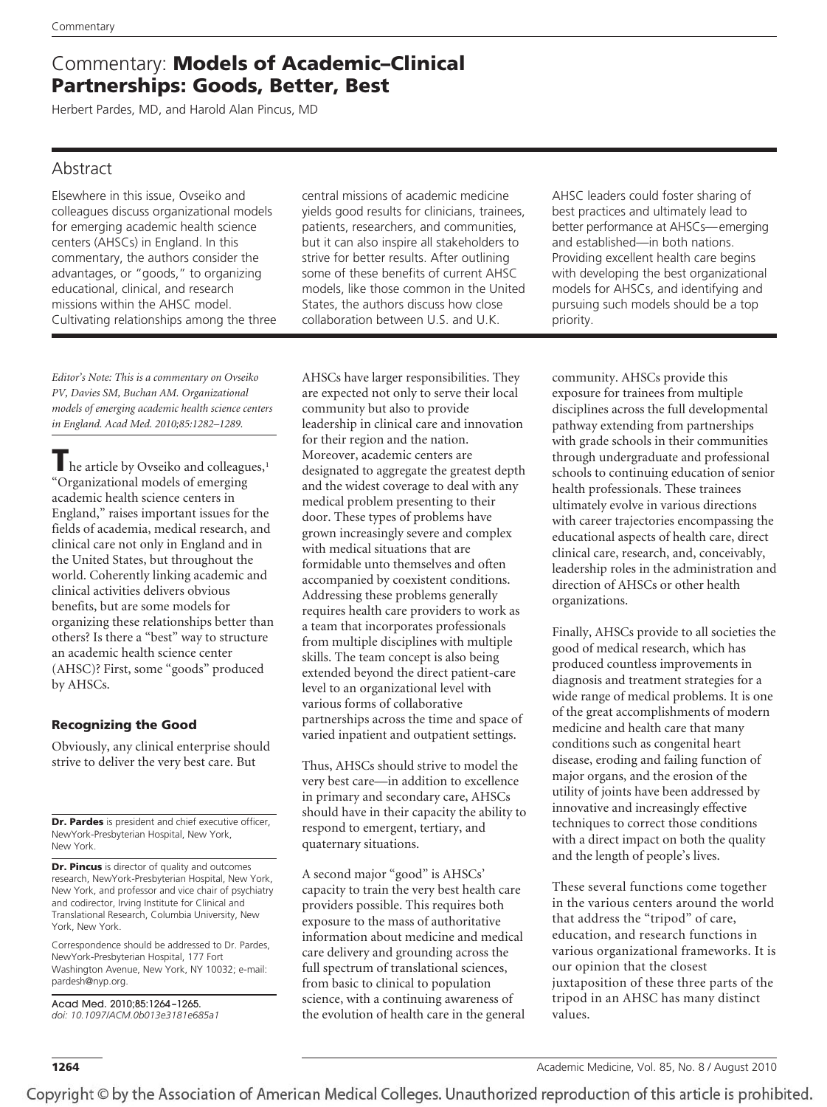# Commentary: **Models of Academic–Clinical Partnerships: Goods, Better, Best**

Herbert Pardes, MD, and Harold Alan Pincus, MD

# Abstract

Elsewhere in this issue, Ovseiko and colleagues discuss organizational models for emerging academic health science centers (AHSCs) in England. In this commentary, the authors consider the advantages, or "goods," to organizing educational, clinical, and research missions within the AHSC model. Cultivating relationships among the three

*Editor's Note: This is a commentary on Ovseiko PV, Davies SM, Buchan AM. Organizational models of emerging academic health science centers in England. Acad Med. 2010;85:1282–1289.*

The article by Ovseiko and colleagues,<sup>1</sup> "Organizational models of emerging academic health science centers in England," raises important issues for the fields of academia, medical research, and clinical care not only in England and in the United States, but throughout the world. Coherently linking academic and clinical activities delivers obvious benefits, but are some models for organizing these relationships better than others? Is there a "best" way to structure an academic health science center (AHSC)? First, some "goods" produced by AHSCs.

# **Recognizing the Good**

Obviously, any clinical enterprise should strive to deliver the very best care. But

**Dr. Pardes** is president and chief executive officer, NewYork-Presbyterian Hospital, New York, New York.

**Dr. Pincus** is director of quality and outcomes research, NewYork-Presbyterian Hospital, New York, New York, and professor and vice chair of psychiatry and codirector, Irving Institute for Clinical and Translational Research, Columbia University, New York, New York.

Correspondence should be addressed to Dr. Pardes, NewYork-Presbyterian Hospital, 177 Fort Washington Avenue, New York, NY 10032; e-mail: pardesh@nyp.org.

Acad Med. 2010;85:1264 –1265. *doi: 10.1097/ACM.0b013e3181e685a1*

central missions of academic medicine yields good results for clinicians, trainees, patients, researchers, and communities, but it can also inspire all stakeholders to strive for better results. After outlining some of these benefits of current AHSC models, like those common in the United States, the authors discuss how close collaboration between U.S. and U.K.

AHSCs have larger responsibilities. They are expected not only to serve their local community but also to provide leadership in clinical care and innovation for their region and the nation. Moreover, academic centers are designated to aggregate the greatest depth and the widest coverage to deal with any medical problem presenting to their door. These types of problems have grown increasingly severe and complex with medical situations that are formidable unto themselves and often accompanied by coexistent conditions. Addressing these problems generally requires health care providers to work as a team that incorporates professionals from multiple disciplines with multiple skills. The team concept is also being extended beyond the direct patient-care level to an organizational level with various forms of collaborative partnerships across the time and space of varied inpatient and outpatient settings.

Thus, AHSCs should strive to model the very best care—in addition to excellence in primary and secondary care, AHSCs should have in their capacity the ability to respond to emergent, tertiary, and quaternary situations.

A second major "good" is AHSCs' capacity to train the very best health care providers possible. This requires both exposure to the mass of authoritative information about medicine and medical care delivery and grounding across the full spectrum of translational sciences, from basic to clinical to population science, with a continuing awareness of the evolution of health care in the general AHSC leaders could foster sharing of best practices and ultimately lead to better performance at AHSCs— emerging and established—in both nations. Providing excellent health care begins with developing the best organizational models for AHSCs, and identifying and pursuing such models should be a top priority.

community. AHSCs provide this exposure for trainees from multiple disciplines across the full developmental pathway extending from partnerships with grade schools in their communities through undergraduate and professional schools to continuing education of senior health professionals. These trainees ultimately evolve in various directions with career trajectories encompassing the educational aspects of health care, direct clinical care, research, and, conceivably, leadership roles in the administration and direction of AHSCs or other health organizations.

Finally, AHSCs provide to all societies the good of medical research, which has produced countless improvements in diagnosis and treatment strategies for a wide range of medical problems. It is one of the great accomplishments of modern medicine and health care that many conditions such as congenital heart disease, eroding and failing function of major organs, and the erosion of the utility of joints have been addressed by innovative and increasingly effective techniques to correct those conditions with a direct impact on both the quality and the length of people's lives.

These several functions come together in the various centers around the world that address the "tripod" of care, education, and research functions in various organizational frameworks. It is our opinion that the closest juxtaposition of these three parts of the tripod in an AHSC has many distinct values.